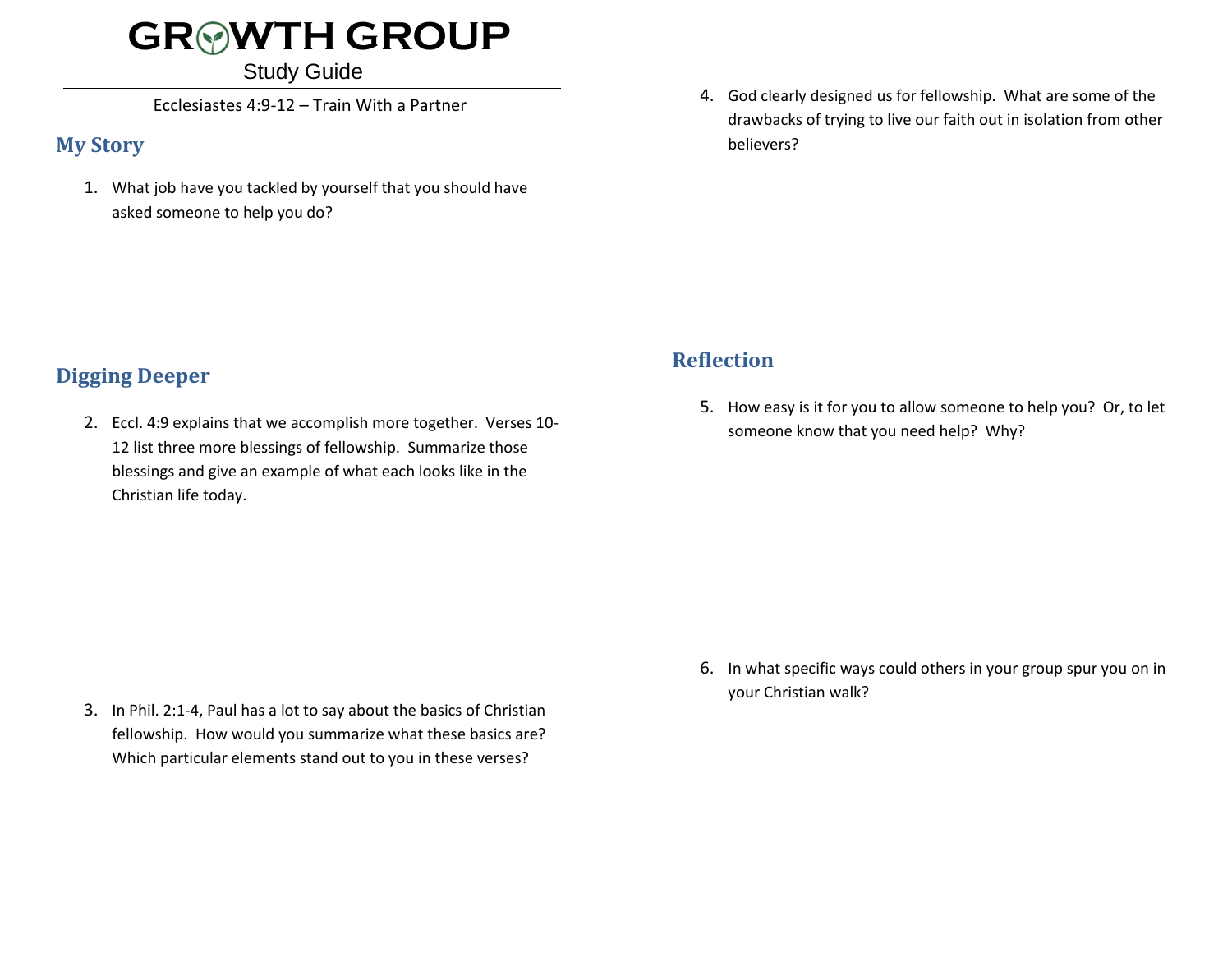## **GR WTH GROUP**

#### Study Guide

Ecclesiastes 4:9-12 – Train With a Partner

#### **My Story**

1. What job have you tackled by yourself that you should have asked someone to help you do?

4. God clearly designed us for fellowship. What are some of the drawbacks of trying to live our faith out in isolation from other believers?

## **Digging Deeper**

2. Eccl. 4:9 explains that we accomplish more together. Verses 10- 12 list three more blessings of fellowship. Summarize those blessings and give an example of what each looks like in the Christian life today.

- **Reflection**
	- 5. How easy is it for you to allow someone to help you? Or, to let someone know that you need help? Why?

3. In Phil. 2:1-4, Paul has a lot to say about the basics of Christian fellowship. How would you summarize what these basics are? Which particular elements stand out to you in these verses?

6. In what specific ways could others in your group spur you on in your Christian walk?